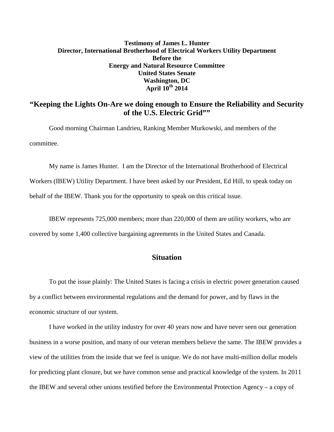## **Testimony of James L. Hunter Director, International Brotherhood of Electrical Workers Utility Department Before the Energy and Natural Resource Committee United States Senate Washington, DC April 10th 2014**

## **"Keeping the Lights On-Are we doing enough to Ensure the Reliability and Security of the U.S. Electric Grid""**

Good morning Chairman Landrieu, Ranking Member Murkowski, and members of the committee.

My name is James Hunter. I am the Director of the International Brotherhood of Electrical Workers (IBEW) Utility Department. I have been asked by our President, Ed Hill, to speak today on behalf of the IBEW. Thank you for the opportunity to speak on this critical issue.

IBEW represents 725,000 members; more than 220,000 of them are utility workers, who are covered by some 1,400 collective bargaining agreements in the United States and Canada.

## **Situation**

To put the issue plainly: The United States is facing a crisis in electric power generation caused by a conflict between environmental regulations and the demand for power, and by flaws in the economic structure of our system.

I have worked in the utility industry for over 40 years now and have never seen our generation business in a worse position, and many of our veteran members believe the same. The IBEW provides a view of the utilities from the inside that we feel is unique. We do not have multi-million dollar models for predicting plant closure, but we have common sense and practical knowledge of the system. In 2011 the IBEW and several other unions testified before the Environmental Protection Agency – a copy of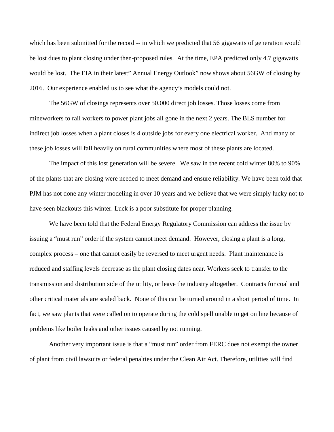which has been submitted for the record -- in which we predicted that 56 gigawatts of generation would be lost dues to plant closing under then-proposed rules. At the time, EPA predicted only 4.7 gigawatts would be lost. The EIA in their latest" Annual Energy Outlook" now shows about 56GW of closing by 2016. Our experience enabled us to see what the agency's models could not.

The 56GW of closings represents over 50,000 direct job losses. Those losses come from mineworkers to rail workers to power plant jobs all gone in the next 2 years. The BLS number for indirect job losses when a plant closes is 4 outside jobs for every one electrical worker. And many of these job losses will fall heavily on rural communities where most of these plants are located.

The impact of this lost generation will be severe. We saw in the recent cold winter 80% to 90% of the plants that are closing were needed to meet demand and ensure reliability. We have been told that PJM has not done any winter modeling in over 10 years and we believe that we were simply lucky not to have seen blackouts this winter. Luck is a poor substitute for proper planning.

We have been told that the Federal Energy Regulatory Commission can address the issue by issuing a "must run" order if the system cannot meet demand. However, closing a plant is a long, complex process – one that cannot easily be reversed to meet urgent needs. Plant maintenance is reduced and staffing levels decrease as the plant closing dates near. Workers seek to transfer to the transmission and distribution side of the utility, or leave the industry altogether. Contracts for coal and other critical materials are scaled back. None of this can be turned around in a short period of time. In fact, we saw plants that were called on to operate during the cold spell unable to get on line because of problems like boiler leaks and other issues caused by not running.

Another very important issue is that a "must run" order from FERC does not exempt the owner of plant from civil lawsuits or federal penalties under the Clean Air Act. Therefore, utilities will find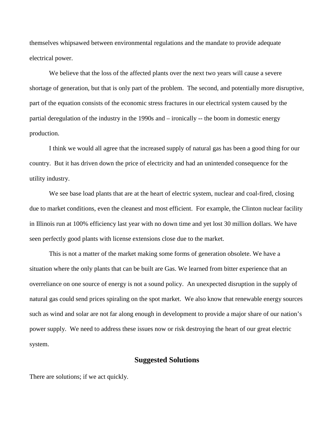themselves whipsawed between environmental regulations and the mandate to provide adequate electrical power.

We believe that the loss of the affected plants over the next two years will cause a severe shortage of generation, but that is only part of the problem. The second, and potentially more disruptive, part of the equation consists of the economic stress fractures in our electrical system caused by the partial deregulation of the industry in the 1990s and – ironically -- the boom in domestic energy production.

I think we would all agree that the increased supply of natural gas has been a good thing for our country. But it has driven down the price of electricity and had an unintended consequence for the utility industry.

We see base load plants that are at the heart of electric system, nuclear and coal-fired, closing due to market conditions, even the cleanest and most efficient. For example, the Clinton nuclear facility in Illinois run at 100% efficiency last year with no down time and yet lost 30 million dollars. We have seen perfectly good plants with license extensions close due to the market.

This is not a matter of the market making some forms of generation obsolete. We have a situation where the only plants that can be built are Gas. We learned from bitter experience that an overreliance on one source of energy is not a sound policy. An unexpected disruption in the supply of natural gas could send prices spiraling on the spot market. We also know that renewable energy sources such as wind and solar are not far along enough in development to provide a major share of our nation's power supply. We need to address these issues now or risk destroying the heart of our great electric system.

## **Suggested Solutions**

There are solutions; if we act quickly.